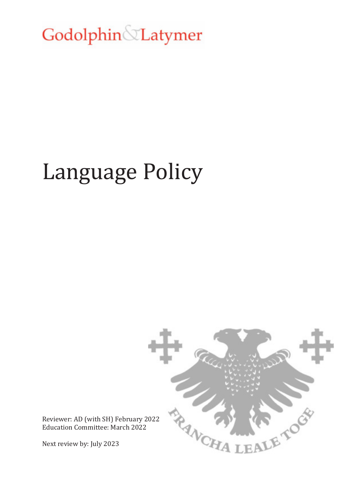Godolphin Latymer

# Language Policy



Reviewer: AD (with SH) February 2022 Education Committee: March 2022

Next review by: July 2023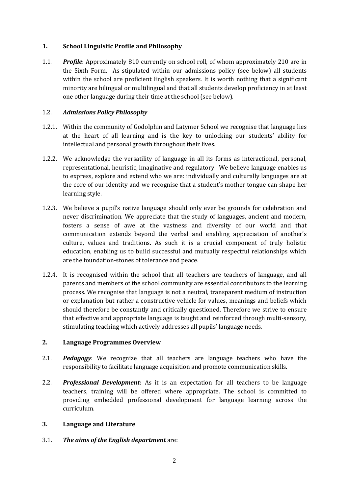### **1. School Linguistic Profile and Philosophy**

1.1. *Profile*: Approximately 810 currently on school roll, of whom approximately 210 are in the Sixth Form. As stipulated within our admissions policy (see below) all students within the school are proficient English speakers. It is worth nothing that a significant minority are bilingual or multilingual and that all students develop proficiency in at least one other language during their time at the school (see below).

## 1.2. *Admissions Policy Philosophy*

- 1.2.1. Within the community of Godolphin and Latymer School we recognise that language lies at the heart of all learning and is the key to unlocking our students' ability for intellectual and personal growth throughout their lives.
- 1.2.2. We acknowledge the versatility of language in all its forms as interactional, personal, representational, heuristic, imaginative and regulatory. We believe language enables us to express, explore and extend who we are: individually and culturally languages are at the core of our identity and we recognise that a student's mother tongue can shape her learning style.
- 1.2.3. We believe a pupil's native language should only ever be grounds for celebration and never discrimination. We appreciate that the study of languages, ancient and modern, fosters a sense of awe at the vastness and diversity of our world and that communication extends beyond the verbal and enabling appreciation of another's culture, values and traditions. As such it is a crucial component of truly holistic education, enabling us to build successful and mutually respectful relationships which are the foundation-stones of tolerance and peace.
- 1.2.4. It is recognised within the school that all teachers are teachers of language, and all parents and members of the school community are essential contributors to the learning process. We recognise that language is not a neutral, transparent medium of instruction or explanation but rather a constructive vehicle for values, meanings and beliefs which should therefore be constantly and critically questioned. Therefore we strive to ensure that effective and appropriate language is taught and reinforced through multi-sensory, stimulating teaching which actively addresses all pupils' language needs.

# **2. Language Programmes Overview**

- 2.1. *Pedagogy*: We recognize that all teachers are language teachers who have the responsibility to facilitate language acquisition and promote communication skills.
- 2.2. *Professional Development*: As it is an expectation for all teachers to be language teachers, training will be offered where appropriate. The school is committed to providing embedded professional development for language learning across the curriculum.

# **3. Language and Literature**

3.1. *The aims of the English department* are: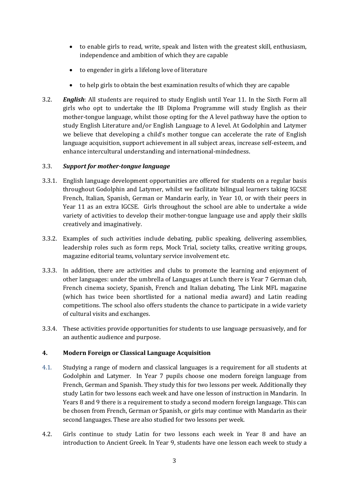- to enable girls to read, write, speak and listen with the greatest skill, enthusiasm, independence and ambition of which they are capable
- to engender in girls a lifelong love of literature
- to help girls to obtain the best examination results of which they are capable
- 3.2. *English*: All students are required to study English until Year 11. In the Sixth Form all girls who opt to undertake the IB Diploma Programme will study English as their mother-tongue language, whilst those opting for the A level pathway have the option to study English Literature and/or English Language to A level. At Godolphin and Latymer we believe that developing a child's mother tongue can accelerate the rate of English language acquisition, support achievement in all subject areas, increase self-esteem, and enhance intercultural understanding and international-mindedness.

### 3.3. *Support for mother-tongue language*

- 3.3.1. English language development opportunities are offered for students on a regular basis throughout Godolphin and Latymer, whilst we facilitate bilingual learners taking IGCSE French, Italian, Spanish, German or Mandarin early, in Year 10, or with their peers in Year 11 as an extra IGCSE. Girls throughout the school are able to undertake a wide variety of activities to develop their mother-tongue language use and apply their skills creatively and imaginatively.
- 3.3.2. Examples of such activities include debating, public speaking, delivering assemblies, leadership roles such as form reps, Mock Trial, society talks, creative writing groups, magazine editorial teams, voluntary service involvement etc.
- 3.3.3. In addition, there are activities and clubs to promote the learning and enjoyment of other languages: under the umbrella of Languages at Lunch there is Year 7 German club, French cinema society, Spanish, French and Italian debating, The Link MFL magazine (which has twice been shortlisted for a national media award) and Latin reading competitions. The school also offers students the chance to participate in a wide variety of cultural visits and exchanges.
- 3.3.4. These activities provide opportunities for students to use language persuasively, and for an authentic audience and purpose.

# **4. Modern Foreign or Classical Language Acquisition**

- 4.1. Studying a range of modern and classical languages is a requirement for all students at Godolphin and Latymer. In Year 7 pupils choose one modern foreign language from French, German and Spanish. They study this for two lessons per week. Additionally they study Latin for two lessons each week and have one lesson of instruction in Mandarin. In Years 8 and 9 there is a requirement to study a second modern foreign language. This can be chosen from French, German or Spanish, or girls may continue with Mandarin as their second languages. These are also studied for two lessons per week.
- 4.2. Girls continue to study Latin for two lessons each week in Year 8 and have an introduction to Ancient Greek. In Year 9, students have one lesson each week to study a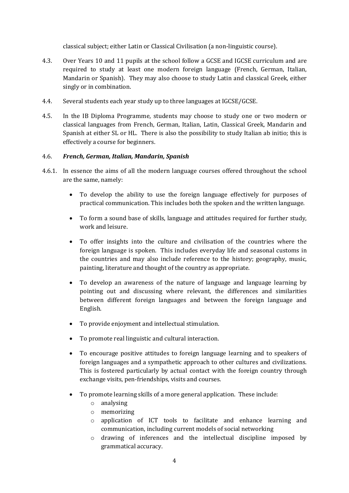classical subject; either Latin or Classical Civilisation (a non-linguistic course).

- 4.3. Over Years 10 and 11 pupils at the school follow a GCSE and IGCSE curriculum and are required to study at least one modern foreign language (French, German, Italian, Mandarin or Spanish). They may also choose to study Latin and classical Greek, either singly or in combination.
- 4.4. Several students each year study up to three languages at IGCSE/GCSE.
- 4.5. In the IB Diploma Programme, students may choose to study one or two modern or classical languages from French, German, Italian, Latin, Classical Greek, Mandarin and Spanish at either SL or HL. There is also the possibility to study Italian ab initio; this is effectively a course for beginners.

### 4.6. *French, German, Italian, Mandarin, Spanish*

- 4.6.1. In essence the aims of all the modern language courses offered throughout the school are the same, namely:
	- To develop the ability to use the foreign language effectively for purposes of practical communication. This includes both the spoken and the written language.
	- To form a sound base of skills, language and attitudes required for further study, work and leisure.
	- To offer insights into the culture and civilisation of the countries where the foreign language is spoken. This includes everyday life and seasonal customs in the countries and may also include reference to the history; geography, music, painting, literature and thought of the country as appropriate.
	- To develop an awareness of the nature of language and language learning by pointing out and discussing where relevant, the differences and similarities between different foreign languages and between the foreign language and English.
	- To provide enjoyment and intellectual stimulation.
	- To promote real linguistic and cultural interaction.
	- To encourage positive attitudes to foreign language learning and to speakers of foreign languages and a sympathetic approach to other cultures and civilizations. This is fostered particularly by actual contact with the foreign country through exchange visits, pen-friendships, visits and courses.
	- To promote learning skills of a more general application. These include:
		- o analysing
		- o memorizing
		- o application of ICT tools to facilitate and enhance learning and communication, including current models of social networking
		- o drawing of inferences and the intellectual discipline imposed by grammatical accuracy.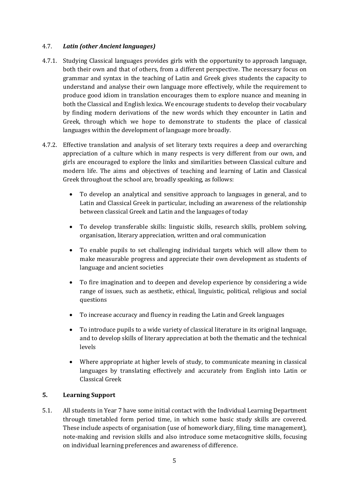### 4.7. *Latin (other Ancient languages)*

- 4.7.1. Studying Classical languages provides girls with the opportunity to approach language, both their own and that of others, from a different perspective. The necessary focus on grammar and syntax in the teaching of Latin and Greek gives students the capacity to understand and analyse their own language more effectively, while the requirement to produce good idiom in translation encourages them to explore nuance and meaning in both the Classical and English lexica. We encourage students to develop their vocabulary by finding modern derivations of the new words which they encounter in Latin and Greek, through which we hope to demonstrate to students the place of classical languages within the development of language more broadly.
- 4.7.2. Effective translation and analysis of set literary texts requires a deep and overarching appreciation of a culture which in many respects is very different from our own, and girls are encouraged to explore the links and similarities between Classical culture and modern life. The aims and objectives of teaching and learning of Latin and Classical Greek throughout the school are, broadly speaking, as follows:
	- To develop an analytical and sensitive approach to languages in general, and to Latin and Classical Greek in particular, including an awareness of the relationship between classical Greek and Latin and the languages of today
	- To develop transferable skills: linguistic skills, research skills, problem solving, organisation, literary appreciation, written and oral communication
	- To enable pupils to set challenging individual targets which will allow them to make measurable progress and appreciate their own development as students of language and ancient societies
	- To fire imagination and to deepen and develop experience by considering a wide range of issues, such as aesthetic, ethical, linguistic, political, religious and social questions
	- To increase accuracy and fluency in reading the Latin and Greek languages
	- To introduce pupils to a wide variety of classical literature in its original language, and to develop skills of literary appreciation at both the thematic and the technical levels
	- Where appropriate at higher levels of study, to communicate meaning in classical languages by translating effectively and accurately from English into Latin or Classical Greek

#### **5. Learning Support**

5.1. All students in Year 7 have some initial contact with the Individual Learning Department through timetabled form period time, in which some basic study skills are covered. These include aspects of organisation (use of homework diary, filing, time management), note-making and revision skills and also introduce some metacognitive skills, focusing on individual learning preferences and awareness of difference.